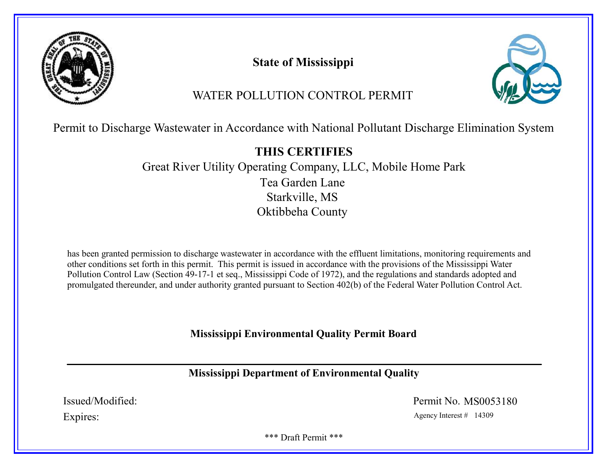

State of Mississippi



# WATER POLLUTION CONTROL PERMIT

Permit to Discharge Wastewater in Accordance with National Pollutant Discharge Elimination System

# THIS CERTIFIES

Great River Utility Operating Company, LLC, Mobile Home Park Tea Garden Lane Starkville, MS Oktibbeha County

has been granted permission to discharge wastewater in accordance with the effluent limitations, monitoring requirements and other conditions set forth in this permit. This permit is issued in accordance with the provisions of the Mississippi Water Pollution Control Law (Section 49-17-1 et seq., Mississippi Code of 1972), and the regulations and standards adopted and promulgated thereunder, and under authority granted pursuant to Section 402(b) of the Federal Water Pollution Control Act.

# Mississippi Environmental Quality Permit Board

# Mississippi Department of Environmental Quality

Issued/Modified: Permit No. MS0053180

Expires: Agency Interest # 14309

\*\*\* Draft Permit \*\*\*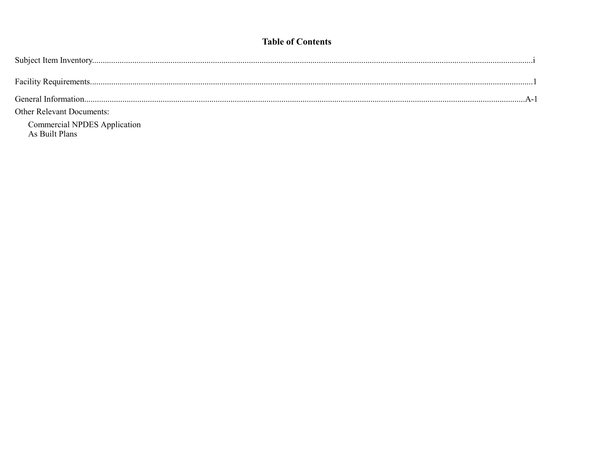# **Table of Contents**

| <b>Other Relevant Documents:</b>               |
|------------------------------------------------|
| Commercial NPDES Application<br>As Built Plans |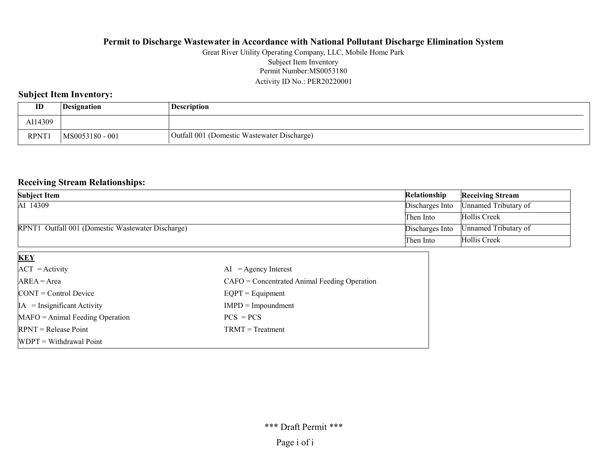#### Permit Number:MS0053180 Activity ID No.: PER20220001 Great River Utility Operating Company, LLC, Mobile Home Park Subject Item Inventory

## Subject Item Inventory:

| ID          | <i>Designation</i> | Description                                 |
|-------------|--------------------|---------------------------------------------|
| AI14309     |                    |                                             |
| <b>RPNT</b> | MS0053180 - 001    | Outfall 001 (Domestic Wastewater Discharge) |

### Receiving Stream Relationships:

| <b>Subject Item</b>                               | Relationship    | <b>Receiving Stream</b> |
|---------------------------------------------------|-----------------|-------------------------|
| AI 14309                                          | Discharges Into | Unnamed Tributary of    |
|                                                   | Then Into       | Hollis Creek            |
| RPNT1 Outfall 001 (Domestic Wastewater Discharge) | Discharges Into | Unnamed Tributary of    |
|                                                   | Then Into       | Hollis Creek            |

| <b>KEY</b>                            |                                                |
|---------------------------------------|------------------------------------------------|
| $ACT = Activity$                      | $AI = Agency Interest$                         |
| $AREA = Area$                         | $CAFO =$ Concentrated Animal Feeding Operation |
| $\text{CONT} = \text{Control Device}$ | $EQPT = Equipment$                             |
| $IA = Insignificant Activity$         | $IMPD = Impoundment$                           |
| $MAFO = Animal Feeding Operation$     | $PCS = PCs$                                    |
| $RPNT = Release Point$                | $TRMT = Treatment$                             |
| $WDPT = Without$ Withdrawal Point     |                                                |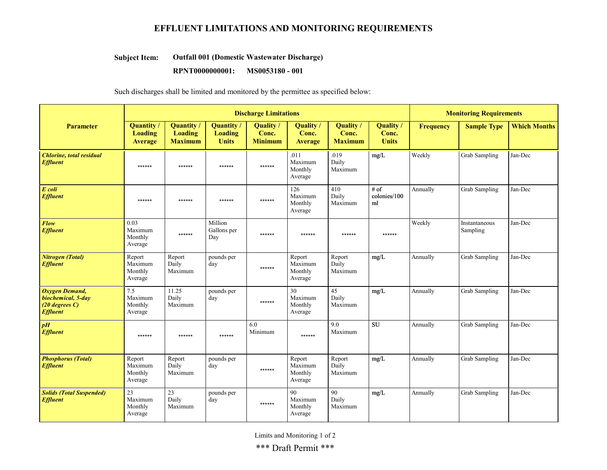# EFFLUENT LIMITATIONS AND MONITORING REQUIREMENTS

#### Outfall 001 (Domestic Wastewater Discharge) Subject Item:

RPNT0000000001: MS0053180 - 001

Such discharges shall be limited and monitored by the permittee as specified below:

|                                                                             |                                         |                                                       | <b>Discharge Limitations</b>                | <b>Monitoring Requirements</b>       |                                         |                                      |                                    |                  |                           |                     |
|-----------------------------------------------------------------------------|-----------------------------------------|-------------------------------------------------------|---------------------------------------------|--------------------------------------|-----------------------------------------|--------------------------------------|------------------------------------|------------------|---------------------------|---------------------|
| <b>Parameter</b>                                                            | Quantity /<br><b>Loading</b><br>Average | <b>Quantity</b> /<br><b>Loading</b><br><b>Maximum</b> | Quantity/<br><b>Loading</b><br><b>Units</b> | Quality /<br>Conc.<br><b>Minimum</b> | Quality<br>Conc.<br>Average             | Quality /<br>Conc.<br><b>Maximum</b> | Quality /<br>Conc.<br><b>Units</b> | <b>Frequency</b> | <b>Sample Type</b>        | <b>Which Months</b> |
| <b>Chlorine</b> , total residual<br><b>Effluent</b>                         | ******                                  | ******                                                | ******                                      | ******                               | .011<br>Maximum<br>Monthly<br>Average   | .019<br>Daily<br>Maximum             | mg/L                               | Weekly           | Grab Sampling             | Jan-Dec             |
| E coli<br><b>Effluent</b>                                                   | ******                                  | ******                                                | ******                                      | ******                               | 126<br>Maximum<br>Monthly<br>Average    | 410<br>Daily<br>Maximum              | # of<br>colonies/100<br>ml         | Annually         | Grab Sampling             | Jan-Dec             |
| Flow<br><b>Effluent</b>                                                     | 0.03<br>Maximum<br>Monthly<br>Average   | ******                                                | Million<br>Gallons per<br>Day               | ******                               | ******                                  | ******                               | ******                             | Weekly           | Instantaneous<br>Sampling | Jan-Dec             |
| <b>Nitrogen</b> (Total)<br><b>Effluent</b>                                  | Report<br>Maximum<br>Monthly<br>Average | Report<br>Daily<br>Maximum                            | pounds per<br>day                           | ******                               | Report<br>Maximum<br>Monthly<br>Average | Report<br>Daily<br>Maximum           | mg/L                               | Annually         | Grab Sampling             | Jan-Dec             |
| Oxygen Demand,<br>biochemical, 5-day<br>$(20$ degrees C)<br><b>Effluent</b> | 7.5<br>Maximum<br>Monthly<br>Average    | 11.25<br>Daily<br>Maximum                             | pounds per<br>day                           | ******                               | 30<br>Maximum<br>Monthly<br>Average     | 45<br>Daily<br>Maximum               | mg/L                               | Annually         | Grab Sampling             | Jan-Dec             |
| pH<br><b>Effluent</b>                                                       | ******                                  | ******                                                | ******                                      | 6.0<br>Minimum                       | ******                                  | 9.0<br>Maximum                       | <b>SU</b>                          | Annually         | Grab Sampling             | Jan-Dec             |
| <b>Phosphorus (Total)</b><br><b>Effluent</b>                                | Report<br>Maximum<br>Monthly<br>Average | Report<br>Daily<br>Maximum                            | pounds per<br>day                           | ******                               | Report<br>Maximum<br>Monthly<br>Average | Report<br>Daily<br>Maximum           | mg/L                               | Annually         | Grab Sampling             | Jan-Dec             |
| <b>Solids (Total Suspended)</b><br><b>Effluent</b>                          | 23<br>Maximum<br>Monthly<br>Average     | 23<br>Daily<br>Maximum                                | pounds per<br>day                           | ******                               | 90<br>Maximum<br>Monthly<br>Average     | 90<br>Daily<br>Maximum               | mg/L                               | Annually         | Grab Sampling             | Jan-Dec             |

Limits and Monitoring 1 of 2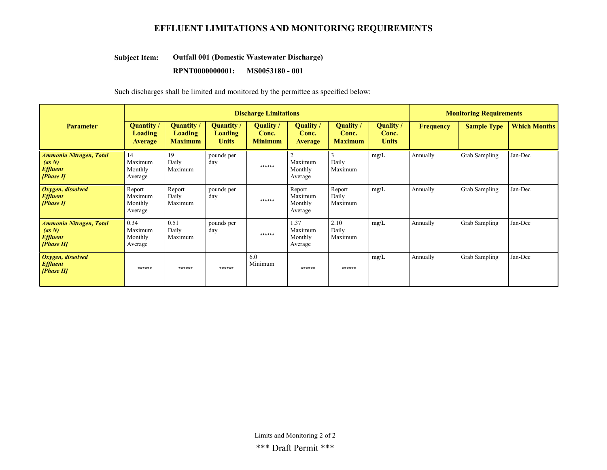# EFFLUENT LIMITATIONS AND MONITORING REQUIREMENTS

#### Outfall 001 (Domestic Wastewater Discharge) Subject Item:

#### RPNT0000000001: MS0053180 - 001

Such discharges shall be limited and monitored by the permittee as specified below:

|                                                                           | <b>Discharge Limitations</b>            |                                       |                                                   |                                      |                                         |                                      |                                    | <b>Monitoring Requirements</b> |                    |                     |
|---------------------------------------------------------------------------|-----------------------------------------|---------------------------------------|---------------------------------------------------|--------------------------------------|-----------------------------------------|--------------------------------------|------------------------------------|--------------------------------|--------------------|---------------------|
| <b>Parameter</b>                                                          | Quantity/<br>Loading<br><b>Average</b>  | Quantity<br>Loading<br><b>Maximum</b> | <b>Quantity</b><br><b>Loading</b><br><b>Units</b> | Quality /<br>Conc.<br><b>Minimum</b> | Quality /<br>Conc.<br><b>Average</b>    | Quality /<br>Conc.<br><b>Maximum</b> | Quality /<br>Conc.<br><b>Units</b> | <b>Frequency</b>               | <b>Sample Type</b> | <b>Which Months</b> |
| <b>Ammonia Nitrogen, Total</b><br>(as N)<br><b>Effluent</b><br>[Phase II] | 14<br>Maximum<br>Monthly<br>Average     | 19<br>Daily<br>Maximum                | pounds per<br>day                                 | ******                               | Maximum<br>Monthly<br>Average           | 3<br>Daily<br>Maximum                | mg/L                               | Annually                       | Grab Sampling      | Jan-Dec             |
| Oxygen, dissolved<br><b>Effluent</b><br>[Phase II]                        | Report<br>Maximum<br>Monthly<br>Average | Report<br>Daily<br>Maximum            | pounds per<br>day                                 | ******                               | Report<br>Maximum<br>Monthly<br>Average | Report<br>Daily<br>Maximum           | mg/L                               | Annually                       | Grab Sampling      | Jan-Dec             |
| Ammonia Nitrogen, Total<br>(as N)<br><b>Effluent</b><br>[Phase II]        | 0.34<br>Maximum<br>Monthly<br>Average   | 0.51<br>Daily<br>Maximum              | pounds per<br>day                                 | ******                               | 1.37<br>Maximum<br>Monthly<br>Average   | 2.10<br>Daily<br>Maximum             | mg/L                               | Annually                       | Grab Sampling      | Jan-Dec             |
| Oxygen, dissolved<br><b>Effluent</b><br>[Phase II]                        | ******                                  | ******                                | ******                                            | 6.0<br>Minimum                       | ******                                  | ******                               | mg/L                               | Annually                       | Grab Sampling      | Jan-Dec             |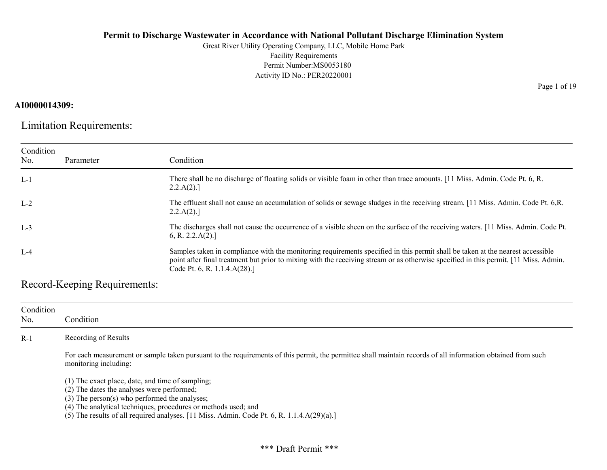Great River Utility Operating Company, LLC, Mobile Home Park Facility Requirements Permit Number:MS0053180 Activity ID No.: PER20220001

# AI0000014309:

Limitation Requirements:

| Condition<br>No. | Parameter | Condition                                                                                                                                                                                                                                                                                              |
|------------------|-----------|--------------------------------------------------------------------------------------------------------------------------------------------------------------------------------------------------------------------------------------------------------------------------------------------------------|
| $L-1$            |           | There shall be no discharge of floating solids or visible foam in other than trace amounts. [11 Miss. Admin. Code Pt. 6, R.<br>2.2.A(2).                                                                                                                                                               |
| $L-2$            |           | The effluent shall not cause an accumulation of solids or sewage sludges in the receiving stream. [11 Miss. Admin. Code Pt. 6,R.<br>2.2.A(2).                                                                                                                                                          |
| $L-3$            |           | The discharges shall not cause the occurrence of a visible sheen on the surface of the receiving waters. [11 Miss. Admin. Code Pt.<br>6, R. 2.2.A(2).                                                                                                                                                  |
| $L-4$            |           | Samples taken in compliance with the monitoring requirements specified in this permit shall be taken at the nearest accessible<br>point after final treatment but prior to mixing with the receiving stream or as otherwise specified in this permit. [11 Miss. Admin.<br>Code Pt. 6, R. 1.1.4.A(28).] |

Record-Keeping Requirements:

| Condition<br>No. | Condition                                                                                                                                                                                                                                                                                                                                                   |
|------------------|-------------------------------------------------------------------------------------------------------------------------------------------------------------------------------------------------------------------------------------------------------------------------------------------------------------------------------------------------------------|
| $R-1$            | Recording of Results                                                                                                                                                                                                                                                                                                                                        |
|                  | For each measurement or sample taken pursuant to the requirements of this permit, the permittee shall maintain records of all information obtained from such<br>monitoring including:                                                                                                                                                                       |
|                  | $(1)$ The exact place, date, and time of sampling;<br>(2) The dates the analyses were performed;<br>(3) The person(s) who performed the analyses;<br>(4) The analytical techniques, procedures or methods used; and<br>(5) The results of all required analyses. $[11 \text{ Miss. } \text{Admin. } \text{Code Pt. } 6, \text{R. } 1.1.4 \text{A}(29)(a).]$ |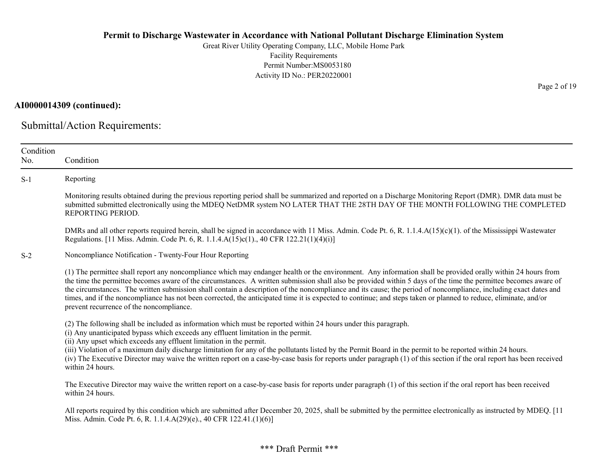Great River Utility Operating Company, LLC, Mobile Home Park Facility Requirements Permit Number:MS0053180 Activity ID No.: PER20220001

# AI0000014309 (continued):

Submittal/Action Requirements:

| Condition<br>No. | Condition                                                                                                                                                                                                                                                                                                                                                                                                                                                                                                                                                                                                                                                                                                           |
|------------------|---------------------------------------------------------------------------------------------------------------------------------------------------------------------------------------------------------------------------------------------------------------------------------------------------------------------------------------------------------------------------------------------------------------------------------------------------------------------------------------------------------------------------------------------------------------------------------------------------------------------------------------------------------------------------------------------------------------------|
| $S-1$            | Reporting                                                                                                                                                                                                                                                                                                                                                                                                                                                                                                                                                                                                                                                                                                           |
|                  | Monitoring results obtained during the previous reporting period shall be summarized and reported on a Discharge Monitoring Report (DMR). DMR data must be<br>submitted submitted electronically using the MDEQ NetDMR system NO LATER THAT THE 28TH DAY OF THE MONTH FOLLOWING THE COMPLETED<br>REPORTING PERIOD.                                                                                                                                                                                                                                                                                                                                                                                                  |
|                  | DMRs and all other reports required herein, shall be signed in accordance with 11 Miss. Admin. Code Pt. 6, R. 1.1.4.A(15)(c)(1). of the Mississippi Wastewater<br>Regulations. [11 Miss. Admin. Code Pt. 6, R. 1.1.4.A(15)c(1)., 40 CFR 122.21(1)(4)(i)]                                                                                                                                                                                                                                                                                                                                                                                                                                                            |
| $S-2$            | Noncompliance Notification - Twenty-Four Hour Reporting                                                                                                                                                                                                                                                                                                                                                                                                                                                                                                                                                                                                                                                             |
|                  | (1) The permittee shall report any noncompliance which may endanger health or the environment. Any information shall be provided orally within 24 hours from<br>the time the permittee becomes aware of the circumstances. A written submission shall also be provided within 5 days of the time the permittee becomes aware of<br>the circumstances. The written submission shall contain a description of the noncompliance and its cause; the period of noncompliance, including exact dates and<br>times, and if the noncompliance has not been corrected, the anticipated time it is expected to continue; and steps taken or planned to reduce, eliminate, and/or<br>prevent recurrence of the noncompliance. |
|                  | (2) The following shall be included as information which must be reported within 24 hours under this paragraph.<br>(i) Any unanticipated bypass which exceeds any effluent limitation in the permit.<br>(ii) Any upset which exceeds any effluent limitation in the permit.                                                                                                                                                                                                                                                                                                                                                                                                                                         |
|                  | (iii) Violation of a maximum daily discharge limitation for any of the pollutants listed by the Permit Board in the permit to be reported within 24 hours.<br>(iv) The Executive Director may waive the written report on a case-by-case basis for reports under paragraph (1) of this section if the oral report has been received<br>within 24 hours.                                                                                                                                                                                                                                                                                                                                                             |
|                  | The Executive Director may waive the written report on a case-by-case basis for reports under paragraph (1) of this section if the oral report has been received<br>within 24 hours.                                                                                                                                                                                                                                                                                                                                                                                                                                                                                                                                |
|                  | All reports required by this condition which are submitted after December 20, 2025, shall be submitted by the permittee electronically as instructed by MDEQ. [11<br>Miss. Admin. Code Pt. 6, R. 1.1.4.A(29)(e)., 40 CFR 122.41.(1)(6)]                                                                                                                                                                                                                                                                                                                                                                                                                                                                             |

Page 2 of 19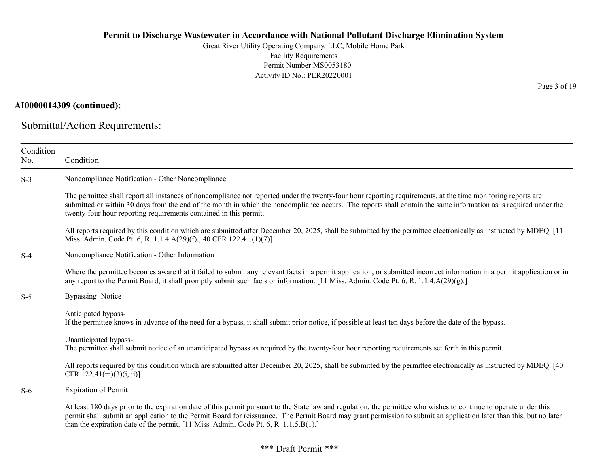Great River Utility Operating Company, LLC, Mobile Home Park Facility Requirements Permit Number:MS0053180 Activity ID No.: PER20220001

#### AI0000014309 (continued):

Submittal/Action Requirements:

| Condition<br>No. | Condition                                                                                                                                                                                                                                                                                                                                                                                                                         |
|------------------|-----------------------------------------------------------------------------------------------------------------------------------------------------------------------------------------------------------------------------------------------------------------------------------------------------------------------------------------------------------------------------------------------------------------------------------|
| $S-3$            | Noncompliance Notification - Other Noncompliance                                                                                                                                                                                                                                                                                                                                                                                  |
|                  | The permittee shall report all instances of noncompliance not reported under the twenty-four hour reporting requirements, at the time monitoring reports are<br>submitted or within 30 days from the end of the month in which the noncompliance occurs. The reports shall contain the same information as is required under the<br>twenty-four hour reporting requirements contained in this permit.                             |
|                  | All reports required by this condition which are submitted after December 20, 2025, shall be submitted by the permittee electronically as instructed by MDEQ. [11]<br>Miss. Admin. Code Pt. 6, R. 1.1.4.A(29)(f)., 40 CFR 122.41.(1)(7)]                                                                                                                                                                                          |
| $S-4$            | Noncompliance Notification - Other Information                                                                                                                                                                                                                                                                                                                                                                                    |
|                  | Where the permittee becomes aware that it failed to submit any relevant facts in a permit application, or submitted incorrect information in a permit application or in<br>any report to the Permit Board, it shall promptly submit such facts or information. [11 Miss. Admin. Code Pt. 6, R. 1.1.4.A(29)(g).]                                                                                                                   |
| $S-5$            | <b>Bypassing</b> -Notice                                                                                                                                                                                                                                                                                                                                                                                                          |
|                  | Anticipated bypass-<br>If the permittee knows in advance of the need for a bypass, it shall submit prior notice, if possible at least ten days before the date of the bypass.                                                                                                                                                                                                                                                     |
|                  | Unanticipated bypass-<br>The permittee shall submit notice of an unanticipated bypass as required by the twenty-four hour reporting requirements set forth in this permit.                                                                                                                                                                                                                                                        |
|                  | All reports required by this condition which are submitted after December 20, 2025, shall be submitted by the permittee electronically as instructed by MDEQ. [40]<br>CFR $122.41(m)(3)(i, ii)$ ]                                                                                                                                                                                                                                 |
| $S-6$            | <b>Expiration of Permit</b>                                                                                                                                                                                                                                                                                                                                                                                                       |
|                  | At least 180 days prior to the expiration date of this permit pursuant to the State law and regulation, the permittee who wishes to continue to operate under this<br>permit shall submit an application to the Permit Board for reissuance. The Permit Board may grant permission to submit an application later than this, but no later<br>than the expiration date of the permit. [11 Miss. Admin. Code Pt. 6, R. 1.1.5.B(1).] |

Page 3 of 19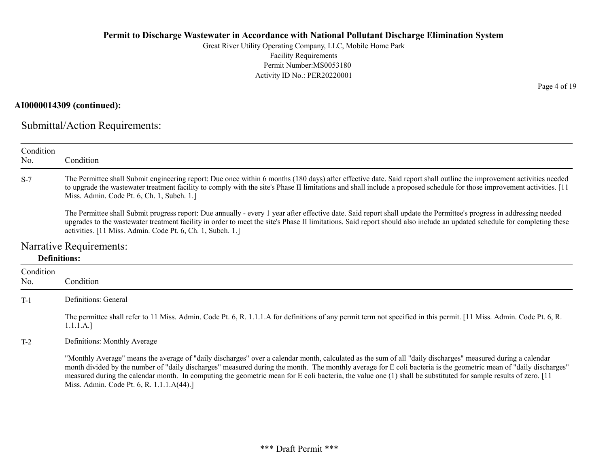Great River Utility Operating Company, LLC, Mobile Home Park Facility Requirements Permit Number:MS0053180 Activity ID No.: PER20220001

### AI0000014309 (continued):

Submittal/Action Requirements:

| Condition<br>No. | Condition                                                                                                                                                                                                                                                                                                                                                                                                                                                                                           |
|------------------|-----------------------------------------------------------------------------------------------------------------------------------------------------------------------------------------------------------------------------------------------------------------------------------------------------------------------------------------------------------------------------------------------------------------------------------------------------------------------------------------------------|
| $S-7$            | The Permittee shall Submit engineering report: Due once within 6 months (180 days) after effective date. Said report shall outline the improvement activities needed<br>to upgrade the wastewater treatment facility to comply with the site's Phase II limitations and shall include a proposed schedule for those improvement activities. [11]<br>Miss. Admin. Code Pt. 6, Ch. 1, Subch. 1.]                                                                                                      |
|                  | The Permittee shall Submit progress report: Due annually - every 1 year after effective date. Said report shall update the Permittee's progress in addressing needed<br>upgrades to the wastewater treatment facility in order to meet the site's Phase II limitations. Said report should also include an updated schedule for completing these<br>activities. [11 Miss. Admin. Code Pt. 6, Ch. 1, Subch. 1.]                                                                                      |
|                  | Narrative Requirements:                                                                                                                                                                                                                                                                                                                                                                                                                                                                             |
|                  | <b>Definitions:</b>                                                                                                                                                                                                                                                                                                                                                                                                                                                                                 |
| Condition<br>No. | Condition                                                                                                                                                                                                                                                                                                                                                                                                                                                                                           |
| $T-1$            | Definitions: General                                                                                                                                                                                                                                                                                                                                                                                                                                                                                |
|                  | The permittee shall refer to 11 Miss. Admin. Code Pt. 6, R. 1.1.1.A for definitions of any permit term not specified in this permit. [11 Miss. Admin. Code Pt. 6, R.<br>1.1.1.A.]                                                                                                                                                                                                                                                                                                                   |
| $T-2$            | Definitions: Monthly Average                                                                                                                                                                                                                                                                                                                                                                                                                                                                        |
|                  | "Monthly Average" means the average of "daily discharges" over a calendar month, calculated as the sum of all "daily discharges" measured during a calendar<br>month divided by the number of "daily discharges" measured during the month. The monthly average for E coli bacteria is the geometric mean of "daily discharges"<br>measured during the calendar month. In computing the geometric mean for E coli bacteria, the value one (1) shall be substituted for sample results of zero. [11] |

Miss. Admin. Code Pt. 6, R. 1.1.1.A(44).]

Page 4 of 19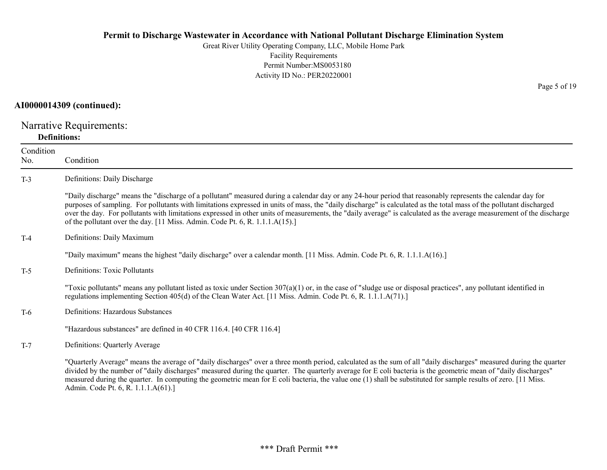Great River Utility Operating Company, LLC, Mobile Home Park Facility Requirements Permit Number:MS0053180 Activity ID No.: PER20220001

### AI0000014309 (continued):

Narrative Requirements: Definitions:

| Condition<br>No. | Condition                                                                                                                                                                                                                                                                                                                                                                                                                                                                                                                                                                                   |
|------------------|---------------------------------------------------------------------------------------------------------------------------------------------------------------------------------------------------------------------------------------------------------------------------------------------------------------------------------------------------------------------------------------------------------------------------------------------------------------------------------------------------------------------------------------------------------------------------------------------|
| $T-3$            | Definitions: Daily Discharge                                                                                                                                                                                                                                                                                                                                                                                                                                                                                                                                                                |
|                  | "Daily discharge" means the "discharge of a pollutant" measured during a calendar day or any 24-hour period that reasonably represents the calendar day for<br>purposes of sampling. For pollutants with limitations expressed in units of mass, the "daily discharge" is calculated as the total mass of the pollutant discharged<br>over the day. For pollutants with limitations expressed in other units of measurements, the "daily average" is calculated as the average measurement of the discharge<br>of the pollutant over the day. [11 Miss. Admin. Code Pt. 6, R. 1.1.1.A(15).] |
| $T-4$            | Definitions: Daily Maximum                                                                                                                                                                                                                                                                                                                                                                                                                                                                                                                                                                  |
|                  | "Daily maximum" means the highest "daily discharge" over a calendar month. [11 Miss. Admin. Code Pt. 6, R. 1.1.1.A(16).]                                                                                                                                                                                                                                                                                                                                                                                                                                                                    |
| $T-5$            | <b>Definitions: Toxic Pollutants</b>                                                                                                                                                                                                                                                                                                                                                                                                                                                                                                                                                        |
|                  | "Toxic pollutants" means any pollutant listed as toxic under Section $307(a)(1)$ or, in the case of "sludge use or disposal practices", any pollutant identified in<br>regulations implementing Section 405(d) of the Clean Water Act. [11 Miss. Admin. Code Pt. 6, R. 1.1.1.A(71).]                                                                                                                                                                                                                                                                                                        |
| $T-6$            | Definitions: Hazardous Substances                                                                                                                                                                                                                                                                                                                                                                                                                                                                                                                                                           |
|                  | "Hazardous substances" are defined in 40 CFR 116.4. [40 CFR 116.4]                                                                                                                                                                                                                                                                                                                                                                                                                                                                                                                          |
| $T-7$            | Definitions: Quarterly Average                                                                                                                                                                                                                                                                                                                                                                                                                                                                                                                                                              |
|                  | "Quarterly Average" means the average of "daily discharges" over a three month period, calculated as the sum of all "daily discharges" measured during the quarter<br>divided by the number of "daily discharges" measured during the quarter. The quarterly average for E coli bacteria is the geometric mean of "daily discharges"<br>measured during the quarter. In computing the geometric mean for E coli bacteria, the value one (1) shall be substituted for sample results of zero. [11 Miss.                                                                                      |

Page 5 of 19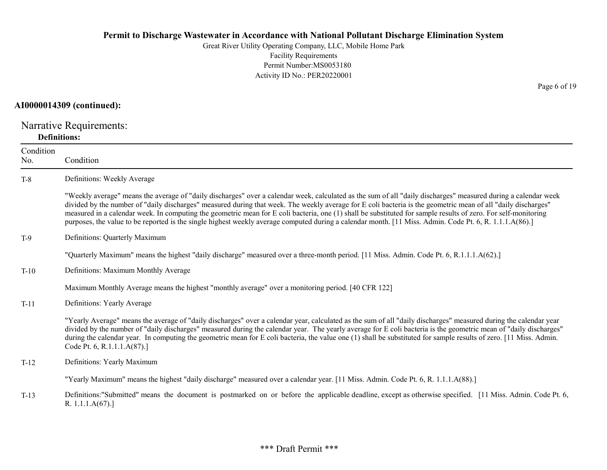Great River Utility Operating Company, LLC, Mobile Home Park Facility Requirements Permit Number:MS0053180 Activity ID No.: PER20220001

### AI0000014309 (continued):

Narrative Requirements: Definitions:

| Condition<br>No. | Condition                                                                                                                                                                                                                                                                                                                                                                                                                                                                                                                                                                                                                                                    |
|------------------|--------------------------------------------------------------------------------------------------------------------------------------------------------------------------------------------------------------------------------------------------------------------------------------------------------------------------------------------------------------------------------------------------------------------------------------------------------------------------------------------------------------------------------------------------------------------------------------------------------------------------------------------------------------|
| $T-8$            | Definitions: Weekly Average                                                                                                                                                                                                                                                                                                                                                                                                                                                                                                                                                                                                                                  |
|                  | "Weekly average" means the average of "daily discharges" over a calendar week, calculated as the sum of all "daily discharges" measured during a calendar week<br>divided by the number of "daily discharges" measured during that week. The weekly average for E coli bacteria is the geometric mean of all "daily discharges"<br>measured in a calendar week. In computing the geometric mean for E coli bacteria, one (1) shall be substituted for sample results of zero. For self-monitoring<br>purposes, the value to be reported is the single highest weekly average computed during a calendar month. [11 Miss. Admin. Code Pt. 6, R. 1.1.1.A(86).] |
| $T-9$            | Definitions: Quarterly Maximum                                                                                                                                                                                                                                                                                                                                                                                                                                                                                                                                                                                                                               |
|                  | "Quarterly Maximum" means the highest "daily discharge" measured over a three-month period. [11 Miss. Admin. Code Pt. 6, R.1.1.1.A(62).]                                                                                                                                                                                                                                                                                                                                                                                                                                                                                                                     |
| $T-10$           | Definitions: Maximum Monthly Average                                                                                                                                                                                                                                                                                                                                                                                                                                                                                                                                                                                                                         |
|                  | Maximum Monthly Average means the highest "monthly average" over a monitoring period. [40 CFR 122]                                                                                                                                                                                                                                                                                                                                                                                                                                                                                                                                                           |
| $T-11$           | Definitions: Yearly Average                                                                                                                                                                                                                                                                                                                                                                                                                                                                                                                                                                                                                                  |
|                  | "Yearly Average" means the average of "daily discharges" over a calendar year, calculated as the sum of all "daily discharges" measured during the calendar year<br>divided by the number of "daily discharges" measured during the calendar year. The yearly average for E coli bacteria is the geometric mean of "daily discharges"<br>during the calendar year. In computing the geometric mean for E coli bacteria, the value one (1) shall be substituted for sample results of zero. [11 Miss. Admin.<br>Code Pt. 6, R.1.1.1.A(87).]                                                                                                                   |
| $T-12$           | Definitions: Yearly Maximum                                                                                                                                                                                                                                                                                                                                                                                                                                                                                                                                                                                                                                  |
|                  | "Yearly Maximum" means the highest "daily discharge" measured over a calendar year. [11 Miss. Admin. Code Pt. 6, R. 1.1.1.A(88).]                                                                                                                                                                                                                                                                                                                                                                                                                                                                                                                            |
| $T-13$           | Definitions:"Submitted" means the document is postmarked on or before the applicable deadline, except as otherwise specified. [11 Miss. Admin. Code Pt. 6,<br>R. $1.1.1.A(67).$                                                                                                                                                                                                                                                                                                                                                                                                                                                                              |

Page 6 of 19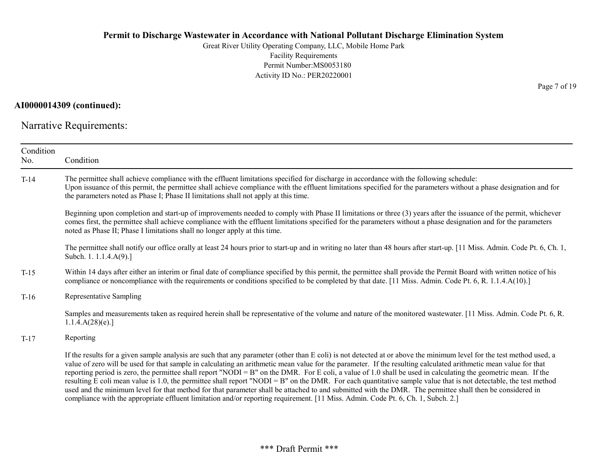Great River Utility Operating Company, LLC, Mobile Home Park Facility Requirements Permit Number:MS0053180 Activity ID No.: PER20220001

### AI0000014309 (continued):

Narrative Requirements:

| Condition<br>No. | Condition                                                                                                                                                                                                                                                                                                                                                                                                                                                                                                                                                                                                                                                                                                                                                                                                                                                                                                                                                                      |
|------------------|--------------------------------------------------------------------------------------------------------------------------------------------------------------------------------------------------------------------------------------------------------------------------------------------------------------------------------------------------------------------------------------------------------------------------------------------------------------------------------------------------------------------------------------------------------------------------------------------------------------------------------------------------------------------------------------------------------------------------------------------------------------------------------------------------------------------------------------------------------------------------------------------------------------------------------------------------------------------------------|
| $T-14$           | The permittee shall achieve compliance with the effluent limitations specified for discharge in accordance with the following schedule:<br>Upon issuance of this permit, the permittee shall achieve compliance with the effluent limitations specified for the parameters without a phase designation and for<br>the parameters noted as Phase I; Phase II limitations shall not apply at this time.                                                                                                                                                                                                                                                                                                                                                                                                                                                                                                                                                                          |
|                  | Beginning upon completion and start-up of improvements needed to comply with Phase II limitations or three (3) years after the issuance of the permit, whichever<br>comes first, the permittee shall achieve compliance with the effluent limitations specified for the parameters without a phase designation and for the parameters<br>noted as Phase II; Phase I limitations shall no longer apply at this time.                                                                                                                                                                                                                                                                                                                                                                                                                                                                                                                                                            |
|                  | The permittee shall notify our office orally at least 24 hours prior to start-up and in writing no later than 48 hours after start-up. [11 Miss. Admin. Code Pt. 6, Ch. 1,<br>Subch. 1. 1.1.4.A(9).]                                                                                                                                                                                                                                                                                                                                                                                                                                                                                                                                                                                                                                                                                                                                                                           |
| $T-15$           | Within 14 days after either an interim or final date of compliance specified by this permit, the permittee shall provide the Permit Board with written notice of his<br>compliance or noncompliance with the requirements or conditions specified to be completed by that date. [11 Miss. Admin. Code Pt. 6, R. 1.1.4.A(10).]                                                                                                                                                                                                                                                                                                                                                                                                                                                                                                                                                                                                                                                  |
| $T-16$           | Representative Sampling                                                                                                                                                                                                                                                                                                                                                                                                                                                                                                                                                                                                                                                                                                                                                                                                                                                                                                                                                        |
|                  | Samples and measurements taken as required herein shall be representative of the volume and nature of the monitored wastewater. [11 Miss. Admin. Code Pt. 6, R.<br>1.1.4.A(28)(e).                                                                                                                                                                                                                                                                                                                                                                                                                                                                                                                                                                                                                                                                                                                                                                                             |
| $T-17$           | Reporting                                                                                                                                                                                                                                                                                                                                                                                                                                                                                                                                                                                                                                                                                                                                                                                                                                                                                                                                                                      |
|                  | If the results for a given sample analysis are such that any parameter (other than E coli) is not detected at or above the minimum level for the test method used, a<br>value of zero will be used for that sample in calculating an arithmetic mean value for the parameter. If the resulting calculated arithmetic mean value for that<br>reporting period is zero, the permittee shall report "NODI = B" on the DMR. For E coli, a value of 1.0 shall be used in calculating the geometric mean. If the<br>resulting E coli mean value is 1.0, the permittee shall report "NODI = B" on the DMR. For each quantitative sample value that is not detectable, the test method<br>used and the minimum level for that method for that parameter shall be attached to and submitted with the DMR. The permittee shall then be considered in<br>compliance with the appropriate effluent limitation and/or reporting requirement. [11 Miss. Admin. Code Pt. 6, Ch. 1, Subch. 2.] |

Page 7 of 19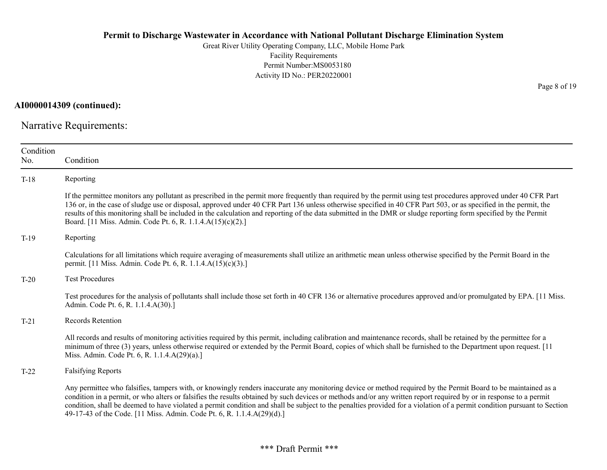Great River Utility Operating Company, LLC, Mobile Home Park Facility Requirements Permit Number:MS0053180 Activity ID No.: PER20220001

AI0000014309 (continued):

Narrative Requirements:

| Condition<br>No. | Condition                                                                                                                                                                                                                                                                                                                                                                                                                                                                                                                                                                                |
|------------------|------------------------------------------------------------------------------------------------------------------------------------------------------------------------------------------------------------------------------------------------------------------------------------------------------------------------------------------------------------------------------------------------------------------------------------------------------------------------------------------------------------------------------------------------------------------------------------------|
| $T-18$           | Reporting                                                                                                                                                                                                                                                                                                                                                                                                                                                                                                                                                                                |
|                  | If the permittee monitors any pollutant as prescribed in the permit more frequently than required by the permit using test procedures approved under 40 CFR Part<br>136 or, in the case of sludge use or disposal, approved under 40 CFR Part 136 unless otherwise specified in 40 CFR Part 503, or as specified in the permit, the<br>results of this monitoring shall be included in the calculation and reporting of the data submitted in the DMR or sludge reporting form specified by the Permit<br>Board. [11 Miss. Admin. Code Pt. 6, R. 1.1.4.A(15)(c)(2).]                     |
| $T-19$           | Reporting                                                                                                                                                                                                                                                                                                                                                                                                                                                                                                                                                                                |
|                  | Calculations for all limitations which require averaging of measurements shall utilize an arithmetic mean unless otherwise specified by the Permit Board in the<br>permit. [11 Miss. Admin. Code Pt. 6, R. 1.1.4.A(15)(c)(3).]                                                                                                                                                                                                                                                                                                                                                           |
| $T-20$           | <b>Test Procedures</b>                                                                                                                                                                                                                                                                                                                                                                                                                                                                                                                                                                   |
|                  | Test procedures for the analysis of pollutants shall include those set forth in 40 CFR 136 or alternative procedures approved and/or promulgated by EPA. [11 Miss.]<br>Admin. Code Pt. 6, R. 1.1.4.A(30).]                                                                                                                                                                                                                                                                                                                                                                               |
| $T-21$           | Records Retention                                                                                                                                                                                                                                                                                                                                                                                                                                                                                                                                                                        |
|                  | All records and results of monitoring activities required by this permit, including calibration and maintenance records, shall be retained by the permittee for a<br>minimum of three (3) years, unless otherwise required or extended by the Permit Board, copies of which shall be furnished to the Department upon request. [11]<br>Miss. Admin. Code Pt. 6, R. 1.1.4.A(29)(a).]                                                                                                                                                                                                      |
| $T-22$           | <b>Falsifying Reports</b>                                                                                                                                                                                                                                                                                                                                                                                                                                                                                                                                                                |
|                  | Any permittee who falsifies, tampers with, or knowingly renders inaccurate any monitoring device or method required by the Permit Board to be maintained as a<br>condition in a permit, or who alters or falsifies the results obtained by such devices or methods and/or any written report required by or in response to a permit<br>condition, shall be deemed to have violated a permit condition and shall be subject to the penalties provided for a violation of a permit condition pursuant to Section<br>49-17-43 of the Code. [11 Miss. Admin. Code Pt. 6, R. 1.1.4.A(29)(d).] |

Page 8 of 19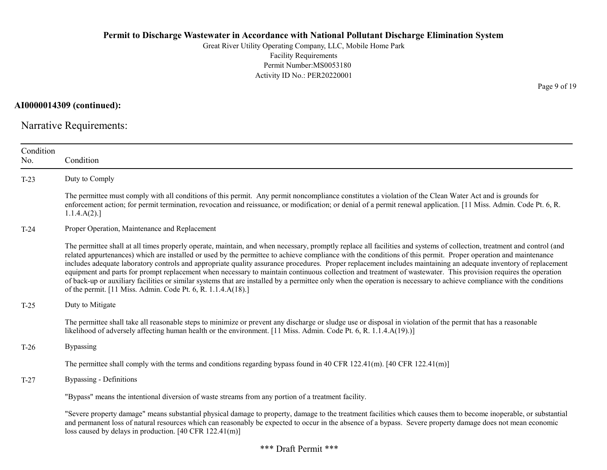Great River Utility Operating Company, LLC, Mobile Home Park Facility Requirements Permit Number:MS0053180 Activity ID No.: PER20220001

AI0000014309 (continued):

Narrative Requirements:

| Condition<br>No. | Condition                                                                                                                                                                                                                                                                                                                                                                                                                                                                                                                                                                                                                                                                                                                                                                                                                                                                                                                |
|------------------|--------------------------------------------------------------------------------------------------------------------------------------------------------------------------------------------------------------------------------------------------------------------------------------------------------------------------------------------------------------------------------------------------------------------------------------------------------------------------------------------------------------------------------------------------------------------------------------------------------------------------------------------------------------------------------------------------------------------------------------------------------------------------------------------------------------------------------------------------------------------------------------------------------------------------|
| $T-23$           | Duty to Comply                                                                                                                                                                                                                                                                                                                                                                                                                                                                                                                                                                                                                                                                                                                                                                                                                                                                                                           |
|                  | The permittee must comply with all conditions of this permit. Any permit noncompliance constitutes a violation of the Clean Water Act and is grounds for<br>enforcement action; for permit termination, revocation and reissuance, or modification; or denial of a permit renewal application. [11 Miss. Admin. Code Pt. 6, R.<br>1.1.4.A(2).                                                                                                                                                                                                                                                                                                                                                                                                                                                                                                                                                                            |
| $T-24$           | Proper Operation, Maintenance and Replacement                                                                                                                                                                                                                                                                                                                                                                                                                                                                                                                                                                                                                                                                                                                                                                                                                                                                            |
|                  | The permittee shall at all times properly operate, maintain, and when necessary, promptly replace all facilities and systems of collection, treatment and control (and<br>related appurtenances) which are installed or used by the permittee to achieve compliance with the conditions of this permit. Proper operation and maintenance<br>includes adequate laboratory controls and appropriate quality assurance procedures. Proper replacement includes maintaining an adequate inventory of replacement<br>equipment and parts for prompt replacement when necessary to maintain continuous collection and treatment of wastewater. This provision requires the operation<br>of back-up or auxiliary facilities or similar systems that are installed by a permittee only when the operation is necessary to achieve compliance with the conditions<br>of the permit. [11 Miss. Admin. Code Pt. 6, R. 1.1.4.A(18).] |
| $T-25$           | Duty to Mitigate                                                                                                                                                                                                                                                                                                                                                                                                                                                                                                                                                                                                                                                                                                                                                                                                                                                                                                         |
|                  | The permittee shall take all reasonable steps to minimize or prevent any discharge or sludge use or disposal in violation of the permit that has a reasonable<br>likelihood of adversely affecting human health or the environment. [11 Miss. Admin. Code Pt. 6, R. 1.1.4.A(19).)]                                                                                                                                                                                                                                                                                                                                                                                                                                                                                                                                                                                                                                       |
| $T-26$           | <b>Bypassing</b>                                                                                                                                                                                                                                                                                                                                                                                                                                                                                                                                                                                                                                                                                                                                                                                                                                                                                                         |
|                  | The permittee shall comply with the terms and conditions regarding bypass found in 40 CFR 122.41(m). [40 CFR 122.41(m)]                                                                                                                                                                                                                                                                                                                                                                                                                                                                                                                                                                                                                                                                                                                                                                                                  |
| $T-27$           | Bypassing - Definitions                                                                                                                                                                                                                                                                                                                                                                                                                                                                                                                                                                                                                                                                                                                                                                                                                                                                                                  |
|                  | "Bypass" means the intentional diversion of waste streams from any portion of a treatment facility.                                                                                                                                                                                                                                                                                                                                                                                                                                                                                                                                                                                                                                                                                                                                                                                                                      |
|                  | "Severe property damage" means substantial physical damage to property, damage to the treatment facilities which causes them to become inoperable, or substantial<br>and permanent loss of natural resources which can reasonably be expected to occur in the absence of a bypass. Severe property damage does not mean economic<br>loss caused by delays in production. [40 CFR 122.41(m)]                                                                                                                                                                                                                                                                                                                                                                                                                                                                                                                              |

Page 9 of 19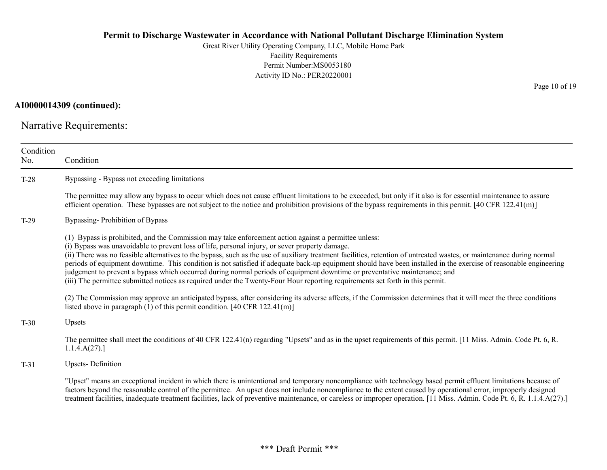Great River Utility Operating Company, LLC, Mobile Home Park Facility Requirements Permit Number:MS0053180 Activity ID No.: PER20220001

# AI0000014309 (continued):

Narrative Requirements:

| Condition<br>No. | Condition                                                                                                                                                                                                                                                                                                                                                                                                                                                                                                                                                                                                                                                                                                                                                                                                          |
|------------------|--------------------------------------------------------------------------------------------------------------------------------------------------------------------------------------------------------------------------------------------------------------------------------------------------------------------------------------------------------------------------------------------------------------------------------------------------------------------------------------------------------------------------------------------------------------------------------------------------------------------------------------------------------------------------------------------------------------------------------------------------------------------------------------------------------------------|
| $T-28$           | Bypassing - Bypass not exceeding limitations                                                                                                                                                                                                                                                                                                                                                                                                                                                                                                                                                                                                                                                                                                                                                                       |
|                  | The permittee may allow any bypass to occur which does not cause effluent limitations to be exceeded, but only if it also is for essential maintenance to assure<br>efficient operation. These bypasses are not subject to the notice and prohibition provisions of the bypass requirements in this permit. $[40 \text{ CFR } 122.41 \text{ (m)}]$                                                                                                                                                                                                                                                                                                                                                                                                                                                                 |
| $T-29$           | Bypassing-Prohibition of Bypass                                                                                                                                                                                                                                                                                                                                                                                                                                                                                                                                                                                                                                                                                                                                                                                    |
|                  | (1) Bypass is prohibited, and the Commission may take enforcement action against a permittee unless:<br>(i) Bypass was unavoidable to prevent loss of life, personal injury, or sever property damage.<br>(ii) There was no feasible alternatives to the bypass, such as the use of auxiliary treatment facilities, retention of untreated wastes, or maintenance during normal<br>periods of equipment downtime. This condition is not satisfied if adequate back-up equipment should have been installed in the exercise of reasonable engineering<br>judgement to prevent a bypass which occurred during normal periods of equipment downtime or preventative maintenance; and<br>(iii) The permittee submitted notices as required under the Twenty-Four Hour reporting requirements set forth in this permit. |
|                  | (2) The Commission may approve an anticipated bypass, after considering its adverse affects, if the Commission determines that it will meet the three conditions<br>listed above in paragraph $(1)$ of this permit condition. [40 CFR 122.41(m)]                                                                                                                                                                                                                                                                                                                                                                                                                                                                                                                                                                   |
| $T-30$           | Upsets                                                                                                                                                                                                                                                                                                                                                                                                                                                                                                                                                                                                                                                                                                                                                                                                             |
|                  | The permittee shall meet the conditions of 40 CFR 122.41(n) regarding "Upsets" and as in the upset requirements of this permit. [11 Miss. Admin. Code Pt. 6, R.<br>1.1.4.A(27).                                                                                                                                                                                                                                                                                                                                                                                                                                                                                                                                                                                                                                    |
| $T-31$           | <b>Upsets-Definition</b>                                                                                                                                                                                                                                                                                                                                                                                                                                                                                                                                                                                                                                                                                                                                                                                           |
|                  | "Upset" means an exceptional incident in which there is unintentional and temporary noncompliance with technology based permit effluent limitations because of<br>factors beyond the reasonable control of the permittee. An upset does not include noncompliance to the extent caused by operational error, improperly designed<br>treatment facilities, inadequate treatment facilities, lack of preventive maintenance, or careless or improper operation. [11 Miss. Admin. Code Pt. 6, R. 1.1.4.A(27).]                                                                                                                                                                                                                                                                                                        |

Page 10 of 19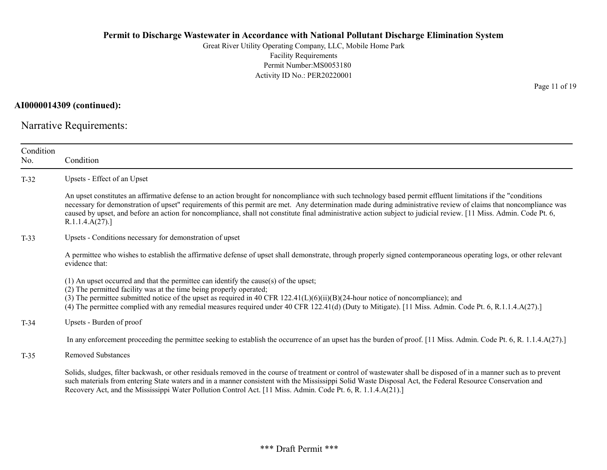Great River Utility Operating Company, LLC, Mobile Home Park Facility Requirements Permit Number:MS0053180 Activity ID No.: PER20220001

AI0000014309 (continued):

Narrative Requirements:

| Condition<br>No. | Condition                                                                                                                                                                                                                                                                                                                                                                                                                                                                                                                |
|------------------|--------------------------------------------------------------------------------------------------------------------------------------------------------------------------------------------------------------------------------------------------------------------------------------------------------------------------------------------------------------------------------------------------------------------------------------------------------------------------------------------------------------------------|
| $T-32$           | Upsets - Effect of an Upset                                                                                                                                                                                                                                                                                                                                                                                                                                                                                              |
|                  | An upset constitutes an affirmative defense to an action brought for noncompliance with such technology based permit effluent limitations if the "conditions"<br>necessary for demonstration of upset" requirements of this permit are met. Any determination made during administrative review of claims that noncompliance was<br>caused by upset, and before an action for noncompliance, shall not constitute final administrative action subject to judicial review. [11 Miss. Admin. Code Pt. 6,<br>R.1.1.4.A(27). |
| $T-33$           | Upsets - Conditions necessary for demonstration of upset                                                                                                                                                                                                                                                                                                                                                                                                                                                                 |
|                  | A permittee who wishes to establish the affirmative defense of upset shall demonstrate, through properly signed contemporaneous operating logs, or other relevant<br>evidence that:                                                                                                                                                                                                                                                                                                                                      |
|                  | (1) An upset occurred and that the permittee can identify the cause(s) of the upset;<br>(2) The permitted facility was at the time being properly operated;<br>(3) The permittee submitted notice of the upset as required in 40 CFR $122.41(L)(6)(ii)(B)(24-hour notice of noncompliance);$ and<br>(4) The permittee complied with any remedial measures required under 40 CFR 122.41(d) (Duty to Mitigate). [11 Miss. Admin. Code Pt. 6, R.1.1.4.A(27).]                                                               |
| $T-34$           | Upsets - Burden of proof                                                                                                                                                                                                                                                                                                                                                                                                                                                                                                 |
|                  | In any enforcement proceeding the permittee seeking to establish the occurrence of an upset has the burden of proof. [11 Miss. Admin. Code Pt. 6, R. 1.1.4.A(27).]                                                                                                                                                                                                                                                                                                                                                       |
| $T-35$           | <b>Removed Substances</b>                                                                                                                                                                                                                                                                                                                                                                                                                                                                                                |
|                  | Solids, sludges, filter backwash, or other residuals removed in the course of treatment or control of wastewater shall be disposed of in a manner such as to prevent<br>such materials from entering State waters and in a manner consistent with the Mississippi Solid Waste Disposal Act, the Federal Resource Conservation and<br>Recovery Act, and the Mississippi Water Pollution Control Act. [11 Miss. Admin. Code Pt. 6, R. 1.1.4.A(21).]                                                                        |

Page 11 of 19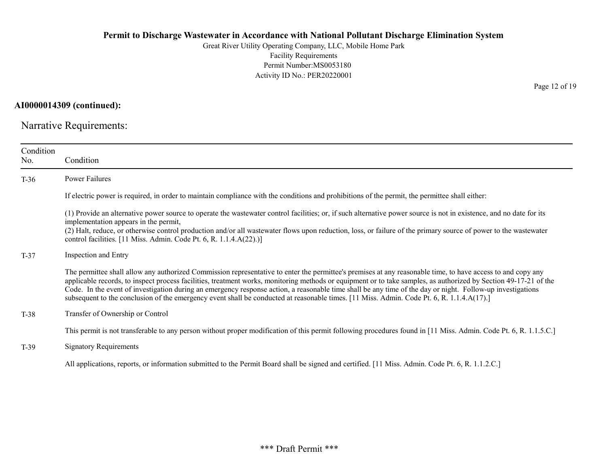Great River Utility Operating Company, LLC, Mobile Home Park Facility Requirements Permit Number:MS0053180 Activity ID No.: PER20220001

AI0000014309 (continued):

Narrative Requirements:

| Condition<br>No. | Condition                                                                                                                                                                                                                                                                                                                                                                                                                                                                                                                                                                                                                                  |
|------------------|--------------------------------------------------------------------------------------------------------------------------------------------------------------------------------------------------------------------------------------------------------------------------------------------------------------------------------------------------------------------------------------------------------------------------------------------------------------------------------------------------------------------------------------------------------------------------------------------------------------------------------------------|
| $T-36$           | Power Failures                                                                                                                                                                                                                                                                                                                                                                                                                                                                                                                                                                                                                             |
|                  | If electric power is required, in order to maintain compliance with the conditions and prohibitions of the permit, the permittee shall either:                                                                                                                                                                                                                                                                                                                                                                                                                                                                                             |
|                  | (1) Provide an alternative power source to operate the wastewater control facilities; or, if such alternative power source is not in existence, and no date for its<br>implementation appears in the permit,<br>(2) Halt, reduce, or otherwise control production and/or all wastewater flows upon reduction, loss, or failure of the primary source of power to the wastewater<br>control facilities. [11 Miss. Admin. Code Pt. 6, R. $1.1.4.A(22).$ ]                                                                                                                                                                                    |
| $T-37$           | Inspection and Entry                                                                                                                                                                                                                                                                                                                                                                                                                                                                                                                                                                                                                       |
|                  | The permittee shall allow any authorized Commission representative to enter the permittee's premises at any reasonable time, to have access to and copy any<br>applicable records, to inspect process facilities, treatment works, monitoring methods or equipment or to take samples, as authorized by Section 49-17-21 of the<br>Code. In the event of investigation during an emergency response action, a reasonable time shall be any time of the day or night. Follow-up investigations<br>subsequent to the conclusion of the emergency event shall be conducted at reasonable times. [11 Miss. Admin. Code Pt. 6, R. 1.1.4.A(17).] |
| T-38             | Transfer of Ownership or Control                                                                                                                                                                                                                                                                                                                                                                                                                                                                                                                                                                                                           |
|                  | This permit is not transferable to any person without proper modification of this permit following procedures found in [11 Miss. Admin. Code Pt. 6, R. 1.1.5.C.]                                                                                                                                                                                                                                                                                                                                                                                                                                                                           |
| $T-39$           | <b>Signatory Requirements</b>                                                                                                                                                                                                                                                                                                                                                                                                                                                                                                                                                                                                              |
|                  | All applications, reports, or information submitted to the Permit Board shall be signed and certified. [11 Miss. Admin. Code Pt. 6, R. 1.1.2.C.]                                                                                                                                                                                                                                                                                                                                                                                                                                                                                           |

Page 12 of 19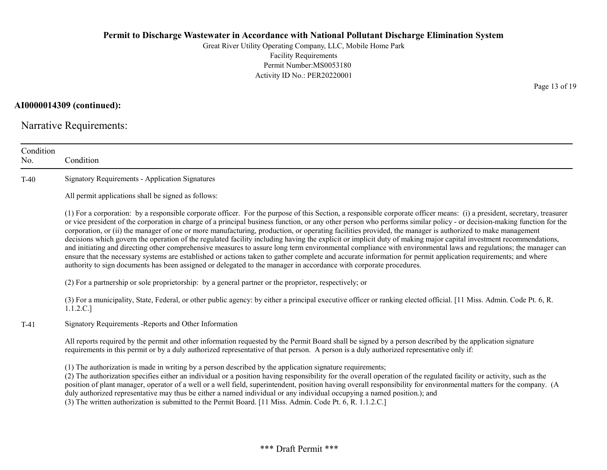Great River Utility Operating Company, LLC, Mobile Home Park Facility Requirements Permit Number:MS0053180 Activity ID No.: PER20220001

AI0000014309 (continued):

Narrative Requirements:

| Condition<br>No. | Condition                                                                                                                                                                                                                                                                                                                                                                                                                                                                                                                                                                                                                                                                                                                                                                                                                                                                                                                                                                                                                                                                                                                                      |
|------------------|------------------------------------------------------------------------------------------------------------------------------------------------------------------------------------------------------------------------------------------------------------------------------------------------------------------------------------------------------------------------------------------------------------------------------------------------------------------------------------------------------------------------------------------------------------------------------------------------------------------------------------------------------------------------------------------------------------------------------------------------------------------------------------------------------------------------------------------------------------------------------------------------------------------------------------------------------------------------------------------------------------------------------------------------------------------------------------------------------------------------------------------------|
| $T-40$           | <b>Signatory Requirements - Application Signatures</b>                                                                                                                                                                                                                                                                                                                                                                                                                                                                                                                                                                                                                                                                                                                                                                                                                                                                                                                                                                                                                                                                                         |
|                  | All permit applications shall be signed as follows:                                                                                                                                                                                                                                                                                                                                                                                                                                                                                                                                                                                                                                                                                                                                                                                                                                                                                                                                                                                                                                                                                            |
|                  | (1) For a corporation: by a responsible corporate officer. For the purpose of this Section, a responsible corporate officer means: (i) a president, secretary, treasurer<br>or vice president of the corporation in charge of a principal business function, or any other person who performs similar policy - or decision-making function for the<br>corporation, or (ii) the manager of one or more manufacturing, production, or operating facilities provided, the manager is authorized to make management<br>decisions which govern the operation of the regulated facility including having the explicit or implicit duty of making major capital investment recommendations,<br>and initiating and directing other comprehensive measures to assure long term environmental compliance with environmental laws and regulations; the manager can<br>ensure that the necessary systems are established or actions taken to gather complete and accurate information for permit application requirements; and where<br>authority to sign documents has been assigned or delegated to the manager in accordance with corporate procedures. |
|                  | (2) For a partnership or sole proprietorship: by a general partner or the proprietor, respectively; or                                                                                                                                                                                                                                                                                                                                                                                                                                                                                                                                                                                                                                                                                                                                                                                                                                                                                                                                                                                                                                         |
|                  | (3) For a municipality, State, Federal, or other public agency: by either a principal executive officer or ranking elected official. [11 Miss. Admin. Code Pt. 6, R.<br>1.1.2.C.]                                                                                                                                                                                                                                                                                                                                                                                                                                                                                                                                                                                                                                                                                                                                                                                                                                                                                                                                                              |
| $T-41$           | Signatory Requirements - Reports and Other Information                                                                                                                                                                                                                                                                                                                                                                                                                                                                                                                                                                                                                                                                                                                                                                                                                                                                                                                                                                                                                                                                                         |
|                  | All reports required by the permit and other information requested by the Permit Board shall be signed by a person described by the application signature<br>requirements in this permit or by a duly authorized representative of that person. A person is a duly authorized representative only if:                                                                                                                                                                                                                                                                                                                                                                                                                                                                                                                                                                                                                                                                                                                                                                                                                                          |
|                  | (1) The authorization is made in writing by a person described by the application signature requirements;<br>(2) The authorization specifies either an individual or a position having responsibility for the overall operation of the regulated facility or activity, such as the<br>position of plant manager, operator of a well or a well field, superintendent, position having overall responsibility for environmental matters for the company. (A<br>duly authorized representative may thus be either a named individual or any individual occupying a named position.); and<br>(3) The written authorization is submitted to the Permit Board. [11 Miss. Admin. Code Pt. 6, R. 1.1.2.C.]                                                                                                                                                                                                                                                                                                                                                                                                                                             |

Page 13 of 19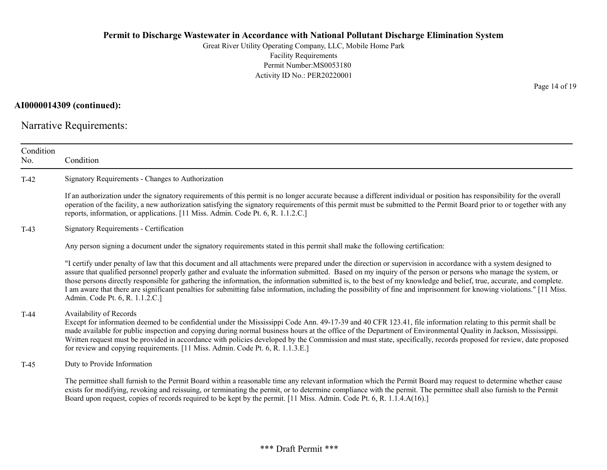Great River Utility Operating Company, LLC, Mobile Home Park Facility Requirements Permit Number:MS0053180 Activity ID No.: PER20220001

### AI0000014309 (continued):

Narrative Requirements:

| Condition<br>No. | Condition                                                                                                                                                                                                                                                                                                                                                                                                                                                                                                                                                                                                                                                                                                                |
|------------------|--------------------------------------------------------------------------------------------------------------------------------------------------------------------------------------------------------------------------------------------------------------------------------------------------------------------------------------------------------------------------------------------------------------------------------------------------------------------------------------------------------------------------------------------------------------------------------------------------------------------------------------------------------------------------------------------------------------------------|
| $T-42$           | Signatory Requirements - Changes to Authorization                                                                                                                                                                                                                                                                                                                                                                                                                                                                                                                                                                                                                                                                        |
|                  | If an authorization under the signatory requirements of this permit is no longer accurate because a different individual or position has responsibility for the overall<br>operation of the facility, a new authorization satisfying the signatory requirements of this permit must be submitted to the Permit Board prior to or together with any<br>reports, information, or applications. [11 Miss. Admin. Code Pt. 6, R. 1.1.2.C.]                                                                                                                                                                                                                                                                                   |
| $T-43$           | Signatory Requirements - Certification                                                                                                                                                                                                                                                                                                                                                                                                                                                                                                                                                                                                                                                                                   |
|                  | Any person signing a document under the signatory requirements stated in this permit shall make the following certification:                                                                                                                                                                                                                                                                                                                                                                                                                                                                                                                                                                                             |
|                  | "I certify under penalty of law that this document and all attachments were prepared under the direction or supervision in accordance with a system designed to<br>assure that qualified personnel properly gather and evaluate the information submitted. Based on my inquiry of the person or persons who manage the system, or<br>those persons directly responsible for gathering the information, the information submitted is, to the best of my knowledge and belief, true, accurate, and complete.<br>I am aware that there are significant penalties for submitting false information, including the possibility of fine and imprisonment for knowing violations." [11 Miss.<br>Admin. Code Pt. 6, R. 1.1.2.C.] |
| $T-44$           | Availability of Records<br>Except for information deemed to be confidential under the Mississippi Code Ann. 49-17-39 and 40 CFR 123.41, file information relating to this permit shall be<br>made available for public inspection and copying during normal business hours at the office of the Department of Environmental Quality in Jackson, Mississippi.<br>Written request must be provided in accordance with policies developed by the Commission and must state, specifically, records proposed for review, date proposed<br>for review and copying requirements. [11 Miss. Admin. Code Pt. 6, R. 1.1.3.E.]                                                                                                      |
| $T-45$           | Duty to Provide Information                                                                                                                                                                                                                                                                                                                                                                                                                                                                                                                                                                                                                                                                                              |
|                  | The permittee shall furnish to the Permit Board within a reasonable time any relevant information which the Permit Board may request to determine whether cause<br>exists for modifying, revoking and reissuing, or terminating the permit, or to determine compliance with the permit. The permittee shall also furnish to the Permit<br>Board upon request, copies of records required to be kept by the permit. [11 Miss. Admin. Code Pt. 6, R. 1.1.4.A(16).]                                                                                                                                                                                                                                                         |

Page 14 of 19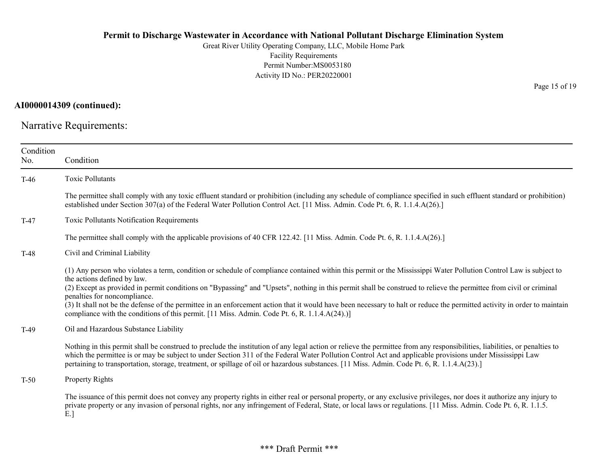Great River Utility Operating Company, LLC, Mobile Home Park Facility Requirements Permit Number:MS0053180 Activity ID No.: PER20220001

AI0000014309 (continued):

Narrative Requirements:

| Condition<br>No. | Condition                                                                                                                                                                                                                                                                                                                                                                                                                                                                                                                                                                                                                                                                            |
|------------------|--------------------------------------------------------------------------------------------------------------------------------------------------------------------------------------------------------------------------------------------------------------------------------------------------------------------------------------------------------------------------------------------------------------------------------------------------------------------------------------------------------------------------------------------------------------------------------------------------------------------------------------------------------------------------------------|
| $T-46$           | <b>Toxic Pollutants</b>                                                                                                                                                                                                                                                                                                                                                                                                                                                                                                                                                                                                                                                              |
|                  | The permittee shall comply with any toxic effluent standard or prohibition (including any schedule of compliance specified in such effluent standard or prohibition)<br>established under Section 307(a) of the Federal Water Pollution Control Act. [11 Miss. Admin. Code Pt. 6, R. 1.1.4.A(26).]                                                                                                                                                                                                                                                                                                                                                                                   |
| $T-47$           | Toxic Pollutants Notification Requirements                                                                                                                                                                                                                                                                                                                                                                                                                                                                                                                                                                                                                                           |
|                  | The permittee shall comply with the applicable provisions of 40 CFR 122.42. [11 Miss. Admin. Code Pt. 6, R. 1.1.4.A(26).]                                                                                                                                                                                                                                                                                                                                                                                                                                                                                                                                                            |
| $T-48$           | Civil and Criminal Liability                                                                                                                                                                                                                                                                                                                                                                                                                                                                                                                                                                                                                                                         |
|                  | (1) Any person who violates a term, condition or schedule of compliance contained within this permit or the Mississippi Water Pollution Control Law is subject to<br>the actions defined by law.<br>(2) Except as provided in permit conditions on "Bypassing" and "Upsets", nothing in this permit shall be construed to relieve the permittee from civil or criminal<br>penalties for noncompliance.<br>(3) It shall not be the defense of the permittee in an enforcement action that it would have been necessary to halt or reduce the permitted activity in order to maintain<br>compliance with the conditions of this permit. [11 Miss. Admin. Code Pt. 6, R. 1.1.4.A(24).)] |
| $T-49$           | Oil and Hazardous Substance Liability                                                                                                                                                                                                                                                                                                                                                                                                                                                                                                                                                                                                                                                |
|                  | Nothing in this permit shall be construed to preclude the institution of any legal action or relieve the permittee from any responsibilities, liabilities, or penalties to<br>which the permittee is or may be subject to under Section 311 of the Federal Water Pollution Control Act and applicable provisions under Mississippi Law<br>pertaining to transportation, storage, treatment, or spillage of oil or hazardous substances. [11 Miss. Admin. Code Pt. 6, R. 1.1.4.A(23).]                                                                                                                                                                                                |
| $T-50$           | Property Rights                                                                                                                                                                                                                                                                                                                                                                                                                                                                                                                                                                                                                                                                      |
|                  | The issuance of this permit does not convey any property rights in either real or personal property, or any exclusive privileges, nor does it authorize any injury to<br>private property or any invasion of personal rights, nor any infringement of Federal, State, or local laws or regulations. [11 Miss. Admin. Code Pt. 6, R. 1.1.5.<br>E.                                                                                                                                                                                                                                                                                                                                     |

Page 15 of 19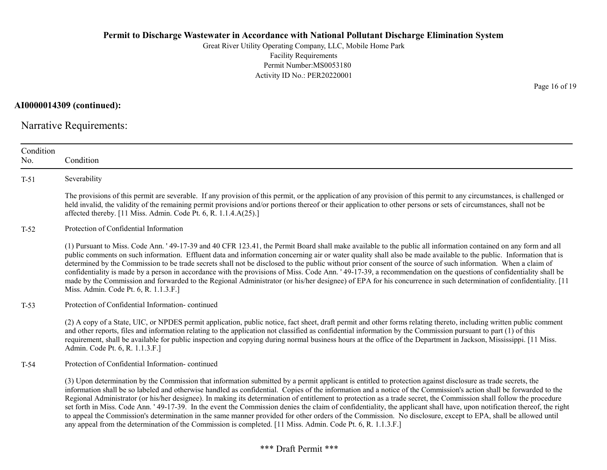Great River Utility Operating Company, LLC, Mobile Home Park Facility Requirements Permit Number:MS0053180 Activity ID No.: PER20220001

AI0000014309 (continued):

Narrative Requirements:

| Condition<br>No. | Condition                                                                                                                                                                                                                                                                                                                                                                                                                                                                                                                                                                                                                                                                                                                                                                                                                                                                                                                                                            |
|------------------|----------------------------------------------------------------------------------------------------------------------------------------------------------------------------------------------------------------------------------------------------------------------------------------------------------------------------------------------------------------------------------------------------------------------------------------------------------------------------------------------------------------------------------------------------------------------------------------------------------------------------------------------------------------------------------------------------------------------------------------------------------------------------------------------------------------------------------------------------------------------------------------------------------------------------------------------------------------------|
| $T-51$           | Severability                                                                                                                                                                                                                                                                                                                                                                                                                                                                                                                                                                                                                                                                                                                                                                                                                                                                                                                                                         |
|                  | The provisions of this permit are severable. If any provision of this permit, or the application of any provision of this permit to any circumstances, is challenged or<br>held invalid, the validity of the remaining permit provisions and/or portions thereof or their application to other persons or sets of circumstances, shall not be<br>affected thereby. [11 Miss. Admin. Code Pt. 6, R. 1.1.4.A(25).]                                                                                                                                                                                                                                                                                                                                                                                                                                                                                                                                                     |
| $T-52$           | Protection of Confidential Information                                                                                                                                                                                                                                                                                                                                                                                                                                                                                                                                                                                                                                                                                                                                                                                                                                                                                                                               |
|                  | (1) Pursuant to Miss. Code Ann. '49-17-39 and 40 CFR 123.41, the Permit Board shall make available to the public all information contained on any form and all<br>public comments on such information. Effluent data and information concerning air or water quality shall also be made available to the public. Information that is<br>determined by the Commission to be trade secrets shall not be disclosed to the public without prior consent of the source of such information. When a claim of<br>confidentiality is made by a person in accordance with the provisions of Miss. Code Ann. '49-17-39, a recommendation on the questions of confidentiality shall be<br>made by the Commission and forwarded to the Regional Administrator (or his/her designee) of EPA for his concurrence in such determination of confidentiality. [11<br>Miss. Admin. Code Pt. 6, R. 1.1.3.F.]                                                                            |
| $T-53$           | Protection of Confidential Information-continued                                                                                                                                                                                                                                                                                                                                                                                                                                                                                                                                                                                                                                                                                                                                                                                                                                                                                                                     |
|                  | (2) A copy of a State, UIC, or NPDES permit application, public notice, fact sheet, draft permit and other forms relating thereto, including written public comment<br>and other reports, files and information relating to the application not classified as confidential information by the Commission pursuant to part (1) of this<br>requirement, shall be available for public inspection and copying during normal business hours at the office of the Department in Jackson, Mississippi. [11 Miss.<br>Admin. Code Pt. 6, R. 1.1.3.F.]                                                                                                                                                                                                                                                                                                                                                                                                                        |
| $T-54$           | Protection of Confidential Information-continued                                                                                                                                                                                                                                                                                                                                                                                                                                                                                                                                                                                                                                                                                                                                                                                                                                                                                                                     |
|                  | (3) Upon determination by the Commission that information submitted by a permit applicant is entitled to protection against disclosure as trade secrets, the<br>information shall be so labeled and otherwise handled as confidential. Copies of the information and a notice of the Commission's action shall be forwarded to the<br>Regional Administrator (or his/her designee). In making its determination of entitlement to protection as a trade secret, the Commission shall follow the procedure<br>set forth in Miss. Code Ann. '49-17-39. In the event the Commission denies the claim of confidentiality, the applicant shall have, upon notification thereof, the right<br>to appeal the Commission's determination in the same manner provided for other orders of the Commission. No disclosure, except to EPA, shall be allowed until<br>any appeal from the determination of the Commission is completed. [11 Miss. Admin. Code Pt. 6, R. 1.1.3.F.] |

Page 16 of 19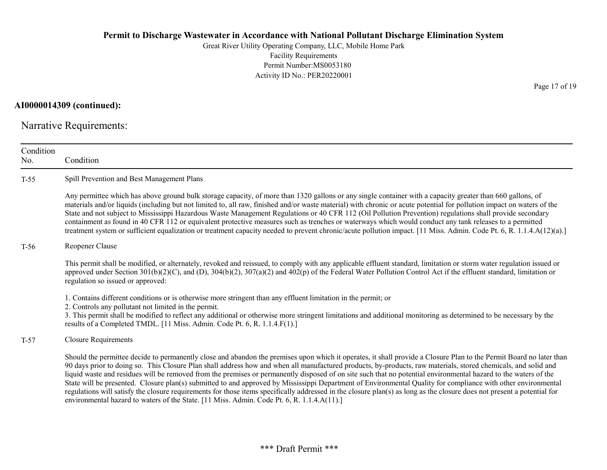Great River Utility Operating Company, LLC, Mobile Home Park Facility Requirements Permit Number:MS0053180 Activity ID No.: PER20220001

### AI0000014309 (continued):

Narrative Requirements:

| Condition<br>No. | Condition                                                                                                                                                                                                                                                                                                                                                                                                                                                                                                                                                                                                                                                                                                                                                                                                                                                                                                                                          |
|------------------|----------------------------------------------------------------------------------------------------------------------------------------------------------------------------------------------------------------------------------------------------------------------------------------------------------------------------------------------------------------------------------------------------------------------------------------------------------------------------------------------------------------------------------------------------------------------------------------------------------------------------------------------------------------------------------------------------------------------------------------------------------------------------------------------------------------------------------------------------------------------------------------------------------------------------------------------------|
| $T-55$           | Spill Prevention and Best Management Plans                                                                                                                                                                                                                                                                                                                                                                                                                                                                                                                                                                                                                                                                                                                                                                                                                                                                                                         |
|                  | Any permittee which has above ground bulk storage capacity, of more than 1320 gallons or any single container with a capacity greater than 660 gallons, of<br>materials and/or liquids (including but not limited to, all raw, finished and/or waste material) with chronic or acute potential for pollution impact on waters of the<br>State and not subject to Mississippi Hazardous Waste Management Regulations or 40 CFR 112 (Oil Pollution Prevention) regulations shall provide secondary<br>containment as found in 40 CFR 112 or equivalent protective measures such as trenches or waterways which would conduct any tank releases to a permitted<br>treatment system or sufficient equalization or treatment capacity needed to prevent chronic/acute pollution impact. [11 Miss. Admin. Code Pt. 6, R. 1.1.4.A(12)(a).]                                                                                                                |
| $T-56$           | Reopener Clause                                                                                                                                                                                                                                                                                                                                                                                                                                                                                                                                                                                                                                                                                                                                                                                                                                                                                                                                    |
|                  | This permit shall be modified, or alternately, revoked and reissued, to comply with any applicable effluent standard, limitation or storm water regulation issued or<br>approved under Section $301(b)(2)(C)$ , and (D), $304(b)(2)$ , $307(a)(2)$ and $402(p)$ of the Federal Water Pollution Control Act if the effluent standard, limitation or<br>regulation so issued or approved:                                                                                                                                                                                                                                                                                                                                                                                                                                                                                                                                                            |
|                  | 1. Contains different conditions or is otherwise more stringent than any effluent limitation in the permit; or<br>2. Controls any pollutant not limited in the permit.<br>3. This permit shall be modified to reflect any additional or otherwise more stringent limitations and additional monitoring as determined to be necessary by the<br>results of a Completed TMDL. [11 Miss. Admin. Code Pt. 6, R. 1.1.4.F(1).]                                                                                                                                                                                                                                                                                                                                                                                                                                                                                                                           |
| $T-57$           | <b>Closure Requirements</b>                                                                                                                                                                                                                                                                                                                                                                                                                                                                                                                                                                                                                                                                                                                                                                                                                                                                                                                        |
|                  | Should the permittee decide to permanently close and abandon the premises upon which it operates, it shall provide a Closure Plan to the Permit Board no later than<br>90 days prior to doing so. This Closure Plan shall address how and when all manufactured products, by-products, raw materials, stored chemicals, and solid and<br>liquid waste and residues will be removed from the premises or permanently disposed of on site such that no potential environmental hazard to the waters of the<br>State will be presented. Closure plan(s) submitted to and approved by Mississippi Department of Environmental Quality for compliance with other environmental<br>regulations will satisfy the closure requirements for those items specifically addressed in the closure plan(s) as long as the closure does not present a potential for<br>environmental hazard to waters of the State. [11 Miss. Admin. Code Pt. 6, R. 1.1.4.A(11).] |

Page 17 of 19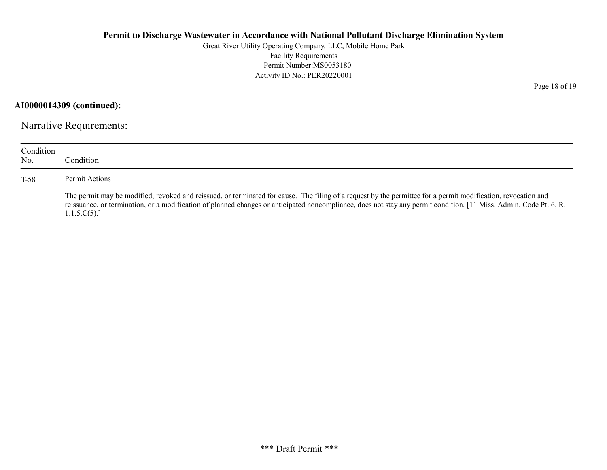Great River Utility Operating Company, LLC, Mobile Home Park Facility Requirements Permit Number:MS0053180 Activity ID No.: PER20220001

AI0000014309 (continued):

Narrative Requirements:

| Condition<br>No. | Condition                                                                                                                                                                                                                                                                                                                                          |
|------------------|----------------------------------------------------------------------------------------------------------------------------------------------------------------------------------------------------------------------------------------------------------------------------------------------------------------------------------------------------|
| T-58             | Permit Actions                                                                                                                                                                                                                                                                                                                                     |
|                  | The permit may be modified, revoked and reissued, or terminated for cause. The filing of a request by the permittee for a permit modification, revocation and<br>reissuance, or termination, or a modification of planned changes or anticipated noncompliance, does not stay any permit condition. [11 Miss. Admin. Code Pt. 6, R.<br>1.1.5.C(5). |

Page 18 of 19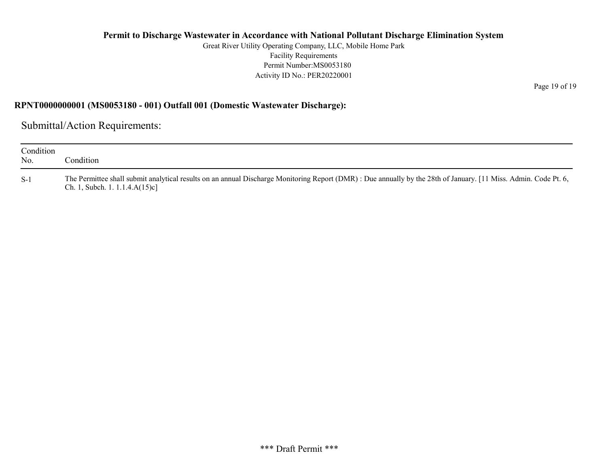Great River Utility Operating Company, LLC, Mobile Home Park Facility Requirements Permit Number:MS0053180 Activity ID No.: PER20220001

Page 19 of 19

#### RPNT0000000001 (MS0053180 - 001) Outfall 001 (Domestic Wastewater Discharge):

Submittal/Action Requirements:

| Condition<br>No. | Condition                                                                                                                                                                                             |
|------------------|-------------------------------------------------------------------------------------------------------------------------------------------------------------------------------------------------------|
| $S-1$            | The Permittee shall submit analytical results on an annual Discharge Monitoring Report (DMR) : Due annually by the 28th of January. [11 Miss. Admin. Code Pt. 6,<br>Ch. 1, Subch. 1. $1.1.4.A(15)c$ ] |